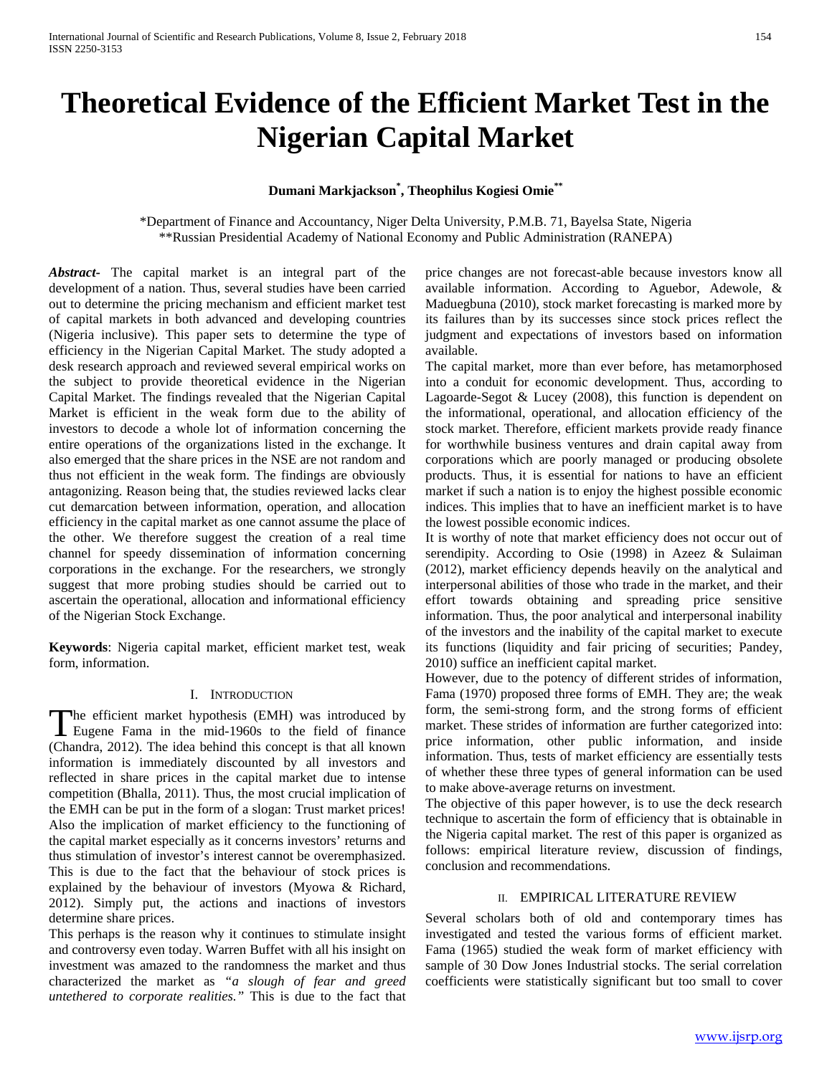# **Theoretical Evidence of the Efficient Market Test in the Nigerian Capital Market**

## **Dumani Markjackson\* , Theophilus Kogiesi Omie\*\***

\*Department of Finance and Accountancy, Niger Delta University, P.M.B. 71, Bayelsa State, Nigeria \*\*Russian Presidential Academy of National Economy and Public Administration (RANEPA)

*Abstract***-** The capital market is an integral part of the development of a nation. Thus, several studies have been carried out to determine the pricing mechanism and efficient market test of capital markets in both advanced and developing countries (Nigeria inclusive). This paper sets to determine the type of efficiency in the Nigerian Capital Market. The study adopted a desk research approach and reviewed several empirical works on the subject to provide theoretical evidence in the Nigerian Capital Market. The findings revealed that the Nigerian Capital Market is efficient in the weak form due to the ability of investors to decode a whole lot of information concerning the entire operations of the organizations listed in the exchange. It also emerged that the share prices in the NSE are not random and thus not efficient in the weak form. The findings are obviously antagonizing. Reason being that, the studies reviewed lacks clear cut demarcation between information, operation, and allocation efficiency in the capital market as one cannot assume the place of the other. We therefore suggest the creation of a real time channel for speedy dissemination of information concerning corporations in the exchange. For the researchers, we strongly suggest that more probing studies should be carried out to ascertain the operational, allocation and informational efficiency of the Nigerian Stock Exchange.

**Keywords**: Nigeria capital market, efficient market test, weak form, information.

#### I. INTRODUCTION

The efficient market hypothesis (EMH) was introduced by The efficient market hypothesis (EMH) was introduced by<br>Eugene Fama in the mid-1960s to the field of finance (Chandra, 2012). The idea behind this concept is that all known information is immediately discounted by all investors and reflected in share prices in the capital market due to intense competition (Bhalla, 2011). Thus, the most crucial implication of the EMH can be put in the form of a slogan: Trust market prices! Also the implication of market efficiency to the functioning of the capital market especially as it concerns investors' returns and thus stimulation of investor's interest cannot be overemphasized. This is due to the fact that the behaviour of stock prices is explained by the behaviour of investors (Myowa & Richard, 2012). Simply put, the actions and inactions of investors determine share prices.

This perhaps is the reason why it continues to stimulate insight and controversy even today. Warren Buffet with all his insight on investment was amazed to the randomness the market and thus characterized the market as *"a slough of fear and greed untethered to corporate realities."* This is due to the fact that

price changes are not forecast-able because investors know all available information. According to Aguebor, Adewole, & Maduegbuna (2010), stock market forecasting is marked more by its failures than by its successes since stock prices reflect the judgment and expectations of investors based on information available.

The capital market, more than ever before, has metamorphosed into a conduit for economic development. Thus, according to Lagoarde-Segot & Lucey (2008), this function is dependent on the informational, operational, and allocation efficiency of the stock market. Therefore, efficient markets provide ready finance for worthwhile business ventures and drain capital away from corporations which are poorly managed or producing obsolete products. Thus, it is essential for nations to have an efficient market if such a nation is to enjoy the highest possible economic indices. This implies that to have an inefficient market is to have the lowest possible economic indices.

It is worthy of note that market efficiency does not occur out of serendipity. According to Osie (1998) in Azeez & Sulaiman (2012), market efficiency depends heavily on the analytical and interpersonal abilities of those who trade in the market, and their effort towards obtaining and spreading price sensitive information. Thus, the poor analytical and interpersonal inability of the investors and the inability of the capital market to execute its functions (liquidity and fair pricing of securities; Pandey, 2010) suffice an inefficient capital market.

However, due to the potency of different strides of information, Fama (1970) proposed three forms of EMH. They are; the weak form, the semi-strong form, and the strong forms of efficient market. These strides of information are further categorized into: price information, other public information, and inside information. Thus, tests of market efficiency are essentially tests of whether these three types of general information can be used to make above-average returns on investment.

The objective of this paper however, is to use the deck research technique to ascertain the form of efficiency that is obtainable in the Nigeria capital market. The rest of this paper is organized as follows: empirical literature review, discussion of findings, conclusion and recommendations.

## II. EMPIRICAL LITERATURE REVIEW

Several scholars both of old and contemporary times has investigated and tested the various forms of efficient market. Fama (1965) studied the weak form of market efficiency with sample of 30 Dow Jones Industrial stocks. The serial correlation coefficients were statistically significant but too small to cover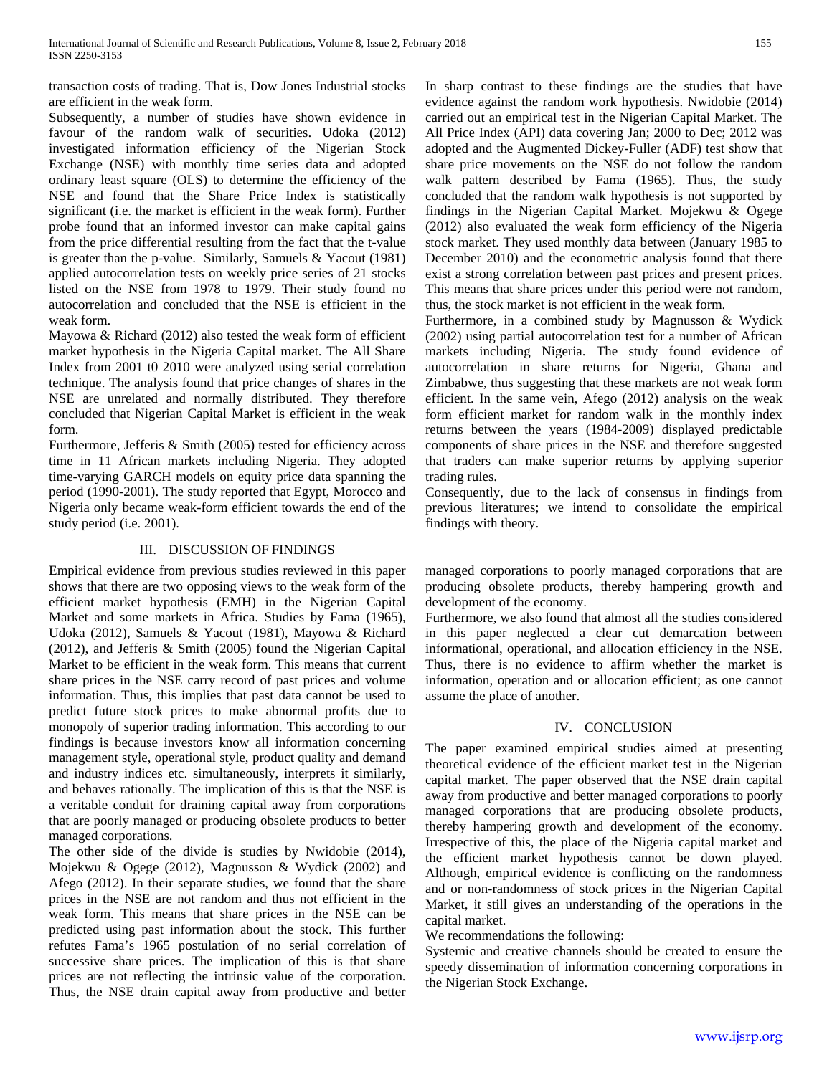transaction costs of trading. That is, Dow Jones Industrial stocks are efficient in the weak form.

Subsequently, a number of studies have shown evidence in favour of the random walk of securities. Udoka (2012) investigated information efficiency of the Nigerian Stock Exchange (NSE) with monthly time series data and adopted ordinary least square (OLS) to determine the efficiency of the NSE and found that the Share Price Index is statistically significant (i.e. the market is efficient in the weak form). Further probe found that an informed investor can make capital gains from the price differential resulting from the fact that the t-value is greater than the p-value. Similarly, Samuels & Yacout (1981) applied autocorrelation tests on weekly price series of 21 stocks listed on the NSE from 1978 to 1979. Their study found no autocorrelation and concluded that the NSE is efficient in the weak form.

Mayowa & Richard (2012) also tested the weak form of efficient market hypothesis in the Nigeria Capital market. The All Share Index from 2001 t0 2010 were analyzed using serial correlation technique. The analysis found that price changes of shares in the NSE are unrelated and normally distributed. They therefore concluded that Nigerian Capital Market is efficient in the weak form.

Furthermore, Jefferis & Smith (2005) tested for efficiency across time in 11 African markets including Nigeria. They adopted time-varying GARCH models on equity price data spanning the period (1990-2001). The study reported that Egypt, Morocco and Nigeria only became weak-form efficient towards the end of the study period (i.e. 2001).

## III. DISCUSSION OF FINDINGS

Empirical evidence from previous studies reviewed in this paper shows that there are two opposing views to the weak form of the efficient market hypothesis (EMH) in the Nigerian Capital Market and some markets in Africa. Studies by Fama (1965), Udoka (2012), Samuels & Yacout (1981), Mayowa & Richard (2012), and Jefferis & Smith (2005) found the Nigerian Capital Market to be efficient in the weak form. This means that current share prices in the NSE carry record of past prices and volume information. Thus, this implies that past data cannot be used to predict future stock prices to make abnormal profits due to monopoly of superior trading information. This according to our findings is because investors know all information concerning management style, operational style, product quality and demand and industry indices etc. simultaneously, interprets it similarly, and behaves rationally. The implication of this is that the NSE is a veritable conduit for draining capital away from corporations that are poorly managed or producing obsolete products to better managed corporations.

The other side of the divide is studies by Nwidobie (2014), Mojekwu & Ogege (2012), Magnusson & Wydick (2002) and Afego (2012). In their separate studies, we found that the share prices in the NSE are not random and thus not efficient in the weak form. This means that share prices in the NSE can be predicted using past information about the stock. This further refutes Fama's 1965 postulation of no serial correlation of successive share prices. The implication of this is that share prices are not reflecting the intrinsic value of the corporation. Thus, the NSE drain capital away from productive and better In sharp contrast to these findings are the studies that have evidence against the random work hypothesis. Nwidobie (2014) carried out an empirical test in the Nigerian Capital Market. The All Price Index (API) data covering Jan; 2000 to Dec; 2012 was adopted and the Augmented Dickey-Fuller (ADF) test show that share price movements on the NSE do not follow the random walk pattern described by Fama (1965). Thus, the study concluded that the random walk hypothesis is not supported by findings in the Nigerian Capital Market. Mojekwu & Ogege (2012) also evaluated the weak form efficiency of the Nigeria stock market. They used monthly data between (January 1985 to December 2010) and the econometric analysis found that there exist a strong correlation between past prices and present prices. This means that share prices under this period were not random, thus, the stock market is not efficient in the weak form.

Furthermore, in a combined study by Magnusson & Wydick (2002) using partial autocorrelation test for a number of African markets including Nigeria. The study found evidence of autocorrelation in share returns for Nigeria, Ghana and Zimbabwe, thus suggesting that these markets are not weak form efficient. In the same vein, Afego (2012) analysis on the weak form efficient market for random walk in the monthly index returns between the years (1984-2009) displayed predictable components of share prices in the NSE and therefore suggested that traders can make superior returns by applying superior trading rules.

Consequently, due to the lack of consensus in findings from previous literatures; we intend to consolidate the empirical findings with theory.

managed corporations to poorly managed corporations that are producing obsolete products, thereby hampering growth and development of the economy.

Furthermore, we also found that almost all the studies considered in this paper neglected a clear cut demarcation between informational, operational, and allocation efficiency in the NSE. Thus, there is no evidence to affirm whether the market is information, operation and or allocation efficient; as one cannot assume the place of another.

## IV. CONCLUSION

The paper examined empirical studies aimed at presenting theoretical evidence of the efficient market test in the Nigerian capital market. The paper observed that the NSE drain capital away from productive and better managed corporations to poorly managed corporations that are producing obsolete products, thereby hampering growth and development of the economy. Irrespective of this, the place of the Nigeria capital market and the efficient market hypothesis cannot be down played. Although, empirical evidence is conflicting on the randomness and or non-randomness of stock prices in the Nigerian Capital Market, it still gives an understanding of the operations in the capital market.

We recommendations the following:

Systemic and creative channels should be created to ensure the speedy dissemination of information concerning corporations in the Nigerian Stock Exchange.